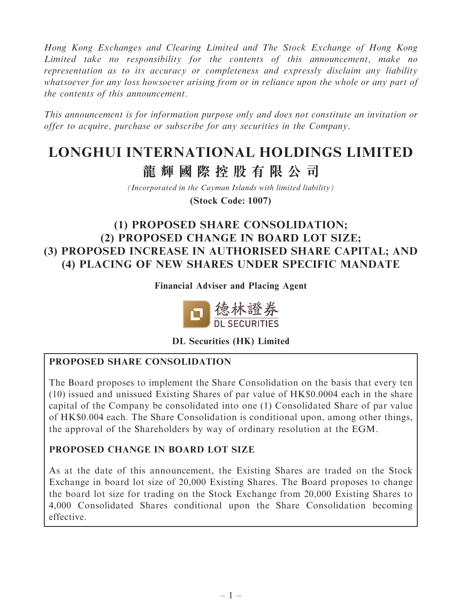Hong Kong Exchanges and Clearing Limited and The Stock Exchange of Hong Kong Limited take no responsibility for the contents of this announcement, make no representation as to its accuracy or completeness and expressly disclaim any liability whatsoever for any loss howsoever arising from or in reliance upon the whole or any part of the contents of this announcement.

This announcement is for information purpose only and does not constitute an invitation or offer to acquire, purchase or subscribe for any securities in the Company.

# **LONGHUI INTERNATIONAL HOLDINGS LIMITED 龍輝國際控股有限公司**

*(Incorporated in the Cayman Islands with limited liability)*

**(Stock Code: 1007)**

## (1) PROPOSED SHARE CONSOLIDATION; (2) PROPOSED CHANGE IN BOARD LOT SIZE; (3) PROPOSED INCREASE IN AUTHORISED SHARE CAPITAL; AND (4) PLACING OF NEW SHARES UNDER SPECIFIC MANDATE

Financial Adviser and Placing Agent



DL Securities (HK) Limited

#### PROPOSED SHARE CONSOLIDATION

The Board proposes to implement the Share Consolidation on the basis that every ten (10) issued and unissued Existing Shares of par value of HK\$0.0004 each in the share capital of the Company be consolidated into one (1) Consolidated Share of par value of HK\$0.004 each. The Share Consolidation is conditional upon, among other things, the approval of the Shareholders by way of ordinary resolution at the EGM.

#### PROPOSED CHANGE IN BOARD LOT SIZE

As at the date of this announcement, the Existing Shares are traded on the Stock Exchange in board lot size of 20,000 Existing Shares. The Board proposes to change the board lot size for trading on the Stock Exchange from 20,000 Existing Shares to 4,000 Consolidated Shares conditional upon the Share Consolidation becoming effective.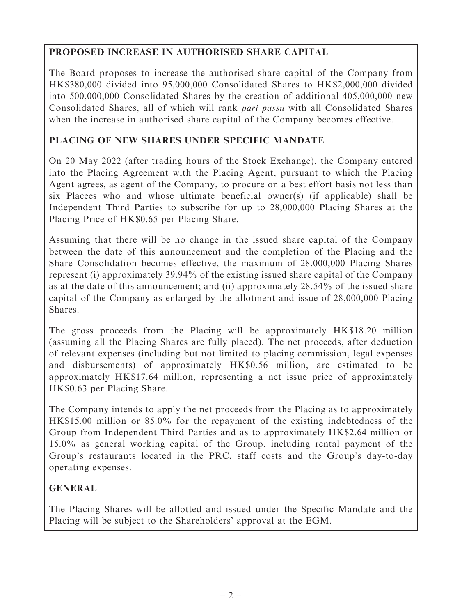### PROPOSED INCREASE IN AUTHORISED SHARE CAPITAL

The Board proposes to increase the authorised share capital of the Company from HK\$380,000 divided into 95,000,000 Consolidated Shares to HK\$2,000,000 divided into 500,000,000 Consolidated Shares by the creation of additional 405,000,000 new Consolidated Shares, all of which will rank pari passu with all Consolidated Shares when the increase in authorised share capital of the Company becomes effective.

#### PLACING OF NEW SHARES UNDER SPECIFIC MANDATE

On 20 May 2022 (after trading hours of the Stock Exchange), the Company entered into the Placing Agreement with the Placing Agent, pursuant to which the Placing Agent agrees, as agent of the Company, to procure on a best effort basis not less than six Placees who and whose ultimate beneficial owner(s) (if applicable) shall be Independent Third Parties to subscribe for up to 28,000,000 Placing Shares at the Placing Price of HK\$0.65 per Placing Share.

Assuming that there will be no change in the issued share capital of the Company between the date of this announcement and the completion of the Placing and the Share Consolidation becomes effective, the maximum of 28,000,000 Placing Shares represent (i) approximately 39.94% of the existing issued share capital of the Company as at the date of this announcement; and (ii) approximately 28.54% of the issued share capital of the Company as enlarged by the allotment and issue of 28,000,000 Placing Shares.

The gross proceeds from the Placing will be approximately HK\$18.20 million (assuming all the Placing Shares are fully placed). The net proceeds, after deduction of relevant expenses (including but not limited to placing commission, legal expenses and disbursements) of approximately HK\$0.56 million, are estimated to be approximately HK\$17.64 million, representing a net issue price of approximately HK\$0.63 per Placing Share.

The Company intends to apply the net proceeds from the Placing as to approximately HK\$15.00 million or 85.0% for the repayment of the existing indebtedness of the Group from Independent Third Parties and as to approximately HK\$2.64 million or 15.0% as general working capital of the Group, including rental payment of the Group's restaurants located in the PRC, staff costs and the Group's day-to-day operating expenses.

### GENERAL

The Placing Shares will be allotted and issued under the Specific Mandate and the Placing will be subject to the Shareholders' approval at the EGM.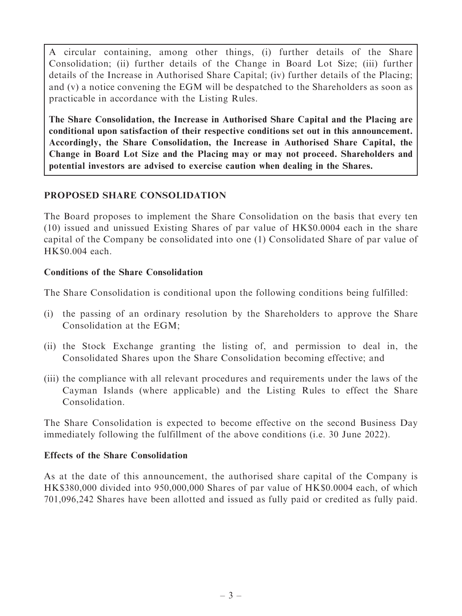A circular containing, among other things, (i) further details of the Share Consolidation; (ii) further details of the Change in Board Lot Size; (iii) further details of the Increase in Authorised Share Capital; (iv) further details of the Placing; and (v) a notice convening the EGM will be despatched to the Shareholders as soon as practicable in accordance with the Listing Rules.

The Share Consolidation, the Increase in Authorised Share Capital and the Placing are conditional upon satisfaction of their respective conditions set out in this announcement. Accordingly, the Share Consolidation, the Increase in Authorised Share Capital, the Change in Board Lot Size and the Placing may or may not proceed. Shareholders and potential investors are advised to exercise caution when dealing in the Shares.

#### PROPOSED SHARE CONSOLIDATION

The Board proposes to implement the Share Consolidation on the basis that every ten (10) issued and unissued Existing Shares of par value of HK\$0.0004 each in the share capital of the Company be consolidated into one (1) Consolidated Share of par value of HK\$0.004 each.

#### Conditions of the Share Consolidation

The Share Consolidation is conditional upon the following conditions being fulfilled:

- (i) the passing of an ordinary resolution by the Shareholders to approve the Share Consolidation at the EGM;
- (ii) the Stock Exchange granting the listing of, and permission to deal in, the Consolidated Shares upon the Share Consolidation becoming effective; and
- (iii) the compliance with all relevant procedures and requirements under the laws of the Cayman Islands (where applicable) and the Listing Rules to effect the Share Consolidation.

The Share Consolidation is expected to become effective on the second Business Day immediately following the fulfillment of the above conditions (i.e. 30 June 2022).

#### Effects of the Share Consolidation

As at the date of this announcement, the authorised share capital of the Company is HK\$380,000 divided into 950,000,000 Shares of par value of HK\$0.0004 each, of which 701,096,242 Shares have been allotted and issued as fully paid or credited as fully paid.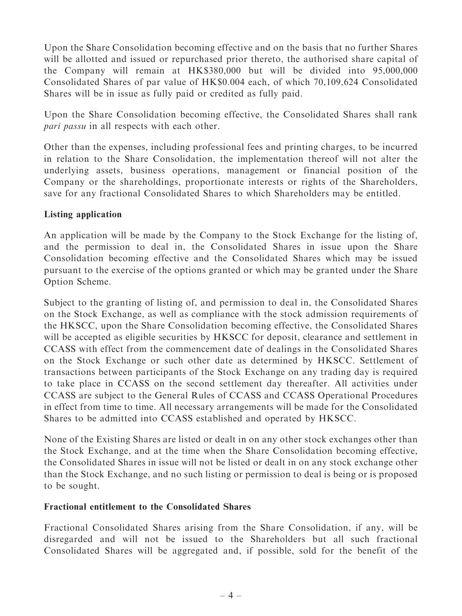Upon the Share Consolidation becoming effective and on the basis that no further Shares will be allotted and issued or repurchased prior thereto, the authorised share capital of the Company will remain at HK\$380,000 but will be divided into 95,000,000 Consolidated Shares of par value of HK\$0.004 each, of which 70,109,624 Consolidated Shares will be in issue as fully paid or credited as fully paid.

Upon the Share Consolidation becoming effective, the Consolidated Shares shall rank pari passu in all respects with each other.

Other than the expenses, including professional fees and printing charges, to be incurred in relation to the Share Consolidation, the implementation thereof will not alter the underlying assets, business operations, management or financial position of the Company or the shareholdings, proportionate interests or rights of the Shareholders, save for any fractional Consolidated Shares to which Shareholders may be entitled.

#### Listing application

An application will be made by the Company to the Stock Exchange for the listing of, and the permission to deal in, the Consolidated Shares in issue upon the Share Consolidation becoming effective and the Consolidated Shares which may be issued pursuant to the exercise of the options granted or which may be granted under the Share Option Scheme.

Subject to the granting of listing of, and permission to deal in, the Consolidated Shares on the Stock Exchange, as well as compliance with the stock admission requirements of the HKSCC, upon the Share Consolidation becoming effective, the Consolidated Shares will be accepted as eligible securities by HKSCC for deposit, clearance and settlement in CCASS with effect from the commencement date of dealings in the Consolidated Shares on the Stock Exchange or such other date as determined by HKSCC. Settlement of transactions between participants of the Stock Exchange on any trading day is required to take place in CCASS on the second settlement day thereafter. All activities under CCASS are subject to the General Rules of CCASS and CCASS Operational Procedures in effect from time to time. All necessary arrangements will be made for the Consolidated Shares to be admitted into CCASS established and operated by HKSCC.

None of the Existing Shares are listed or dealt in on any other stock exchanges other than the Stock Exchange, and at the time when the Share Consolidation becoming effective, the Consolidated Shares in issue will not be listed or dealt in on any stock exchange other than the Stock Exchange, and no such listing or permission to deal is being or is proposed to be sought.

#### Fractional entitlement to the Consolidated Shares

Fractional Consolidated Shares arising from the Share Consolidation, if any, will be disregarded and will not be issued to the Shareholders but all such fractional Consolidated Shares will be aggregated and, if possible, sold for the benefit of the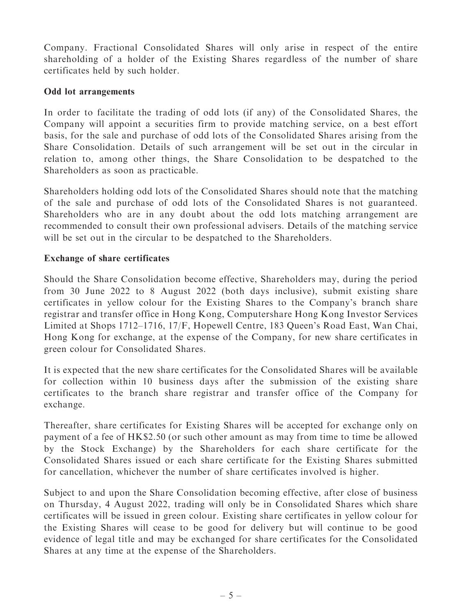Company. Fractional Consolidated Shares will only arise in respect of the entire shareholding of a holder of the Existing Shares regardless of the number of share certificates held by such holder.

#### Odd lot arrangements

In order to facilitate the trading of odd lots (if any) of the Consolidated Shares, the Company will appoint a securities firm to provide matching service, on a best effort basis, for the sale and purchase of odd lots of the Consolidated Shares arising from the Share Consolidation. Details of such arrangement will be set out in the circular in relation to, among other things, the Share Consolidation to be despatched to the Shareholders as soon as practicable.

Shareholders holding odd lots of the Consolidated Shares should note that the matching of the sale and purchase of odd lots of the Consolidated Shares is not guaranteed. Shareholders who are in any doubt about the odd lots matching arrangement are recommended to consult their own professional advisers. Details of the matching service will be set out in the circular to be despatched to the Shareholders.

#### Exchange of share certificates

Should the Share Consolidation become effective, Shareholders may, during the period from 30 June 2022 to 8 August 2022 (both days inclusive), submit existing share certificates in yellow colour for the Existing Shares to the Company's branch share registrar and transfer office in Hong Kong, Computershare Hong Kong Investor Services Limited at Shops 1712–1716, 17/F, Hopewell Centre, 183 Queen's Road East, Wan Chai, Hong Kong for exchange, at the expense of the Company, for new share certificates in green colour for Consolidated Shares.

It is expected that the new share certificates for the Consolidated Shares will be available for collection within 10 business days after the submission of the existing share certificates to the branch share registrar and transfer office of the Company for exchange.

Thereafter, share certificates for Existing Shares will be accepted for exchange only on payment of a fee of HK\$2.50 (or such other amount as may from time to time be allowed by the Stock Exchange) by the Shareholders for each share certificate for the Consolidated Shares issued or each share certificate for the Existing Shares submitted for cancellation, whichever the number of share certificates involved is higher.

Subject to and upon the Share Consolidation becoming effective, after close of business on Thursday, 4 August 2022, trading will only be in Consolidated Shares which share certificates will be issued in green colour. Existing share certificates in yellow colour for the Existing Shares will cease to be good for delivery but will continue to be good evidence of legal title and may be exchanged for share certificates for the Consolidated Shares at any time at the expense of the Shareholders.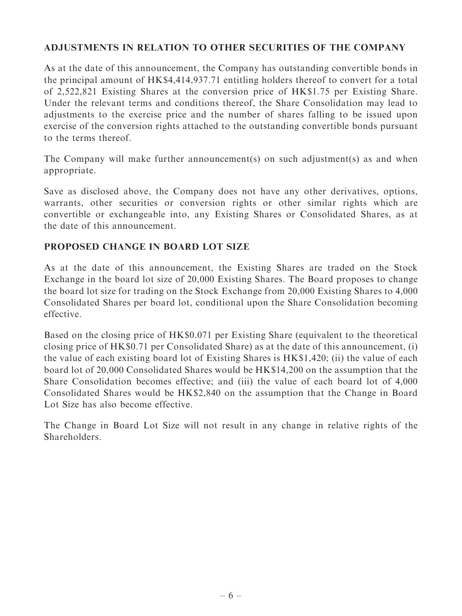#### ADJUSTMENTS IN RELATION TO OTHER SECURITIES OF THE COMPANY

As at the date of this announcement, the Company has outstanding convertible bonds in the principal amount of HK\$4,414,937.71 entitling holders thereof to convert for a total of 2,522,821 Existing Shares at the conversion price of HK\$1.75 per Existing Share. Under the relevant terms and conditions thereof, the Share Consolidation may lead to adjustments to the exercise price and the number of shares falling to be issued upon exercise of the conversion rights attached to the outstanding convertible bonds pursuant to the terms thereof.

The Company will make further announcement(s) on such adjustment(s) as and when appropriate.

Save as disclosed above, the Company does not have any other derivatives, options, warrants, other securities or conversion rights or other similar rights which are convertible or exchangeable into, any Existing Shares or Consolidated Shares, as at the date of this announcement.

#### PROPOSED CHANGE IN BOARD LOT SIZE

As at the date of this announcement, the Existing Shares are traded on the Stock Exchange in the board lot size of 20,000 Existing Shares. The Board proposes to change the board lot size for trading on the Stock Exchange from 20,000 Existing Shares to 4,000 Consolidated Shares per board lot, conditional upon the Share Consolidation becoming effective.

Based on the closing price of HK\$0.071 per Existing Share (equivalent to the theoretical closing price of HK\$0.71 per Consolidated Share) as at the date of this announcement, (i) the value of each existing board lot of Existing Shares is HK\$1,420; (ii) the value of each board lot of 20,000 Consolidated Shares would be HK\$14,200 on the assumption that the Share Consolidation becomes effective; and (iii) the value of each board lot of 4,000 Consolidated Shares would be HK\$2,840 on the assumption that the Change in Board Lot Size has also become effective.

The Change in Board Lot Size will not result in any change in relative rights of the Shareholders.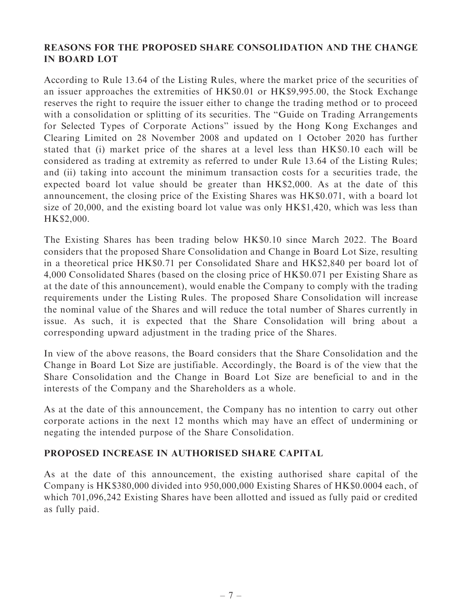#### REASONS FOR THE PROPOSED SHARE CONSOLIDATION AND THE CHANGE IN BOARD LOT

According to Rule 13.64 of the Listing Rules, where the market price of the securities of an issuer approaches the extremities of HK\$0.01 or HK\$9,995.00, the Stock Exchange reserves the right to require the issuer either to change the trading method or to proceed with a consolidation or splitting of its securities. The "Guide on Trading Arrangements" for Selected Types of Corporate Actions'' issued by the Hong Kong Exchanges and Clearing Limited on 28 November 2008 and updated on 1 October 2020 has further stated that (i) market price of the shares at a level less than HK\$0.10 each will be considered as trading at extremity as referred to under Rule 13.64 of the Listing Rules; and (ii) taking into account the minimum transaction costs for a securities trade, the expected board lot value should be greater than HK\$2,000. As at the date of this announcement, the closing price of the Existing Shares was HK\$0.071, with a board lot size of 20,000, and the existing board lot value was only HK\$1,420, which was less than HK\$2,000.

The Existing Shares has been trading below HK\$0.10 since March 2022. The Board considers that the proposed Share Consolidation and Change in Board Lot Size, resulting in a theoretical price HK\$0.71 per Consolidated Share and HK\$2,840 per board lot of 4,000 Consolidated Shares (based on the closing price of HK\$0.071 per Existing Share as at the date of this announcement), would enable the Company to comply with the trading requirements under the Listing Rules. The proposed Share Consolidation will increase the nominal value of the Shares and will reduce the total number of Shares currently in issue. As such, it is expected that the Share Consolidation will bring about a corresponding upward adjustment in the trading price of the Shares.

In view of the above reasons, the Board considers that the Share Consolidation and the Change in Board Lot Size are justifiable. Accordingly, the Board is of the view that the Share Consolidation and the Change in Board Lot Size are beneficial to and in the interests of the Company and the Shareholders as a whole.

As at the date of this announcement, the Company has no intention to carry out other corporate actions in the next 12 months which may have an effect of undermining or negating the intended purpose of the Share Consolidation.

#### PROPOSED INCREASE IN AUTHORISED SHARE CAPITAL

As at the date of this announcement, the existing authorised share capital of the Company is HK\$380,000 divided into 950,000,000 Existing Shares of HK\$0.0004 each, of which 701,096,242 Existing Shares have been allotted and issued as fully paid or credited as fully paid.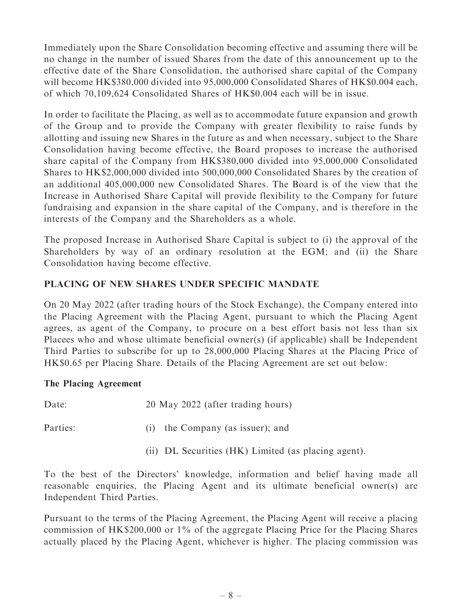Immediately upon the Share Consolidation becoming effective and assuming there will be no change in the number of issued Shares from the date of this announcement up to the effective date of the Share Consolidation, the authorised share capital of the Company will become HK\$380,000 divided into 95,000,000 Consolidated Shares of HK\$0.004 each, of which 70,109,624 Consolidated Shares of HK\$0.004 each will be in issue.

In order to facilitate the Placing, as well as to accommodate future expansion and growth of the Group and to provide the Company with greater flexibility to raise funds by allotting and issuing new Shares in the future as and when necessary, subject to the Share Consolidation having become effective, the Board proposes to increase the authorised share capital of the Company from HK\$380,000 divided into 95,000,000 Consolidated Shares to HK\$2,000,000 divided into 500,000,000 Consolidated Shares by the creation of an additional 405,000,000 new Consolidated Shares. The Board is of the view that the Increase in Authorised Share Capital will provide flexibility to the Company for future fundraising and expansion in the share capital of the Company, and is therefore in the interests of the Company and the Shareholders as a whole.

The proposed Increase in Authorised Share Capital is subject to (i) the approval of the Shareholders by way of an ordinary resolution at the EGM; and (ii) the Share Consolidation having become effective.

#### PLACING OF NEW SHARES UNDER SPECIFIC MANDATE

On 20 May 2022 (after trading hours of the Stock Exchange), the Company entered into the Placing Agreement with the Placing Agent, pursuant to which the Placing Agent agrees, as agent of the Company, to procure on a best effort basis not less than six Placees who and whose ultimate beneficial owner(s) (if applicable) shall be Independent Third Parties to subscribe for up to 28,000,000 Placing Shares at the Placing Price of HK\$0.65 per Placing Share. Details of the Placing Agreement are set out below:

#### The Placing Agreement

| Date:    | 20 May 2022 (after trading hours)                   |
|----------|-----------------------------------------------------|
| Parties: | (i) the Company (as issuer); and                    |
|          | (ii) DL Securities (HK) Limited (as placing agent). |

To the best of the Directors' knowledge, information and belief having made all reasonable enquiries, the Placing Agent and its ultimate beneficial owner(s) are Independent Third Parties.

Pursuant to the terms of the Placing Agreement, the Placing Agent will receive a placing commission of HK\$200,000 or 1% of the aggregate Placing Price for the Placing Shares actually placed by the Placing Agent, whichever is higher. The placing commission was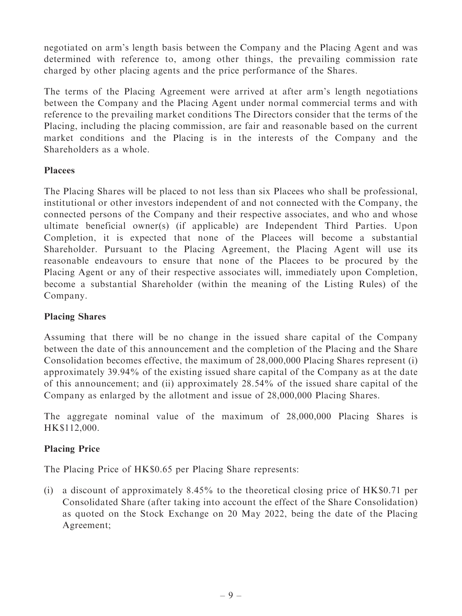negotiated on arm's length basis between the Company and the Placing Agent and was determined with reference to, among other things, the prevailing commission rate charged by other placing agents and the price performance of the Shares.

The terms of the Placing Agreement were arrived at after arm's length negotiations between the Company and the Placing Agent under normal commercial terms and with reference to the prevailing market conditions The Directors consider that the terms of the Placing, including the placing commission, are fair and reasonable based on the current market conditions and the Placing is in the interests of the Company and the Shareholders as a whole.

#### Placees

The Placing Shares will be placed to not less than six Placees who shall be professional, institutional or other investors independent of and not connected with the Company, the connected persons of the Company and their respective associates, and who and whose ultimate beneficial owner(s) (if applicable) are Independent Third Parties. Upon Completion, it is expected that none of the Placees will become a substantial Shareholder. Pursuant to the Placing Agreement, the Placing Agent will use its reasonable endeavours to ensure that none of the Placees to be procured by the Placing Agent or any of their respective associates will, immediately upon Completion, become a substantial Shareholder (within the meaning of the Listing Rules) of the Company.

#### Placing Shares

Assuming that there will be no change in the issued share capital of the Company between the date of this announcement and the completion of the Placing and the Share Consolidation becomes effective, the maximum of 28,000,000 Placing Shares represent (i) approximately 39.94% of the existing issued share capital of the Company as at the date of this announcement; and (ii) approximately 28.54% of the issued share capital of the Company as enlarged by the allotment and issue of 28,000,000 Placing Shares.

The aggregate nominal value of the maximum of 28,000,000 Placing Shares is HK\$112,000.

#### Placing Price

The Placing Price of HK\$0.65 per Placing Share represents:

(i) a discount of approximately 8.45% to the theoretical closing price of HK\$0.71 per Consolidated Share (after taking into account the effect of the Share Consolidation) as quoted on the Stock Exchange on 20 May 2022, being the date of the Placing Agreement;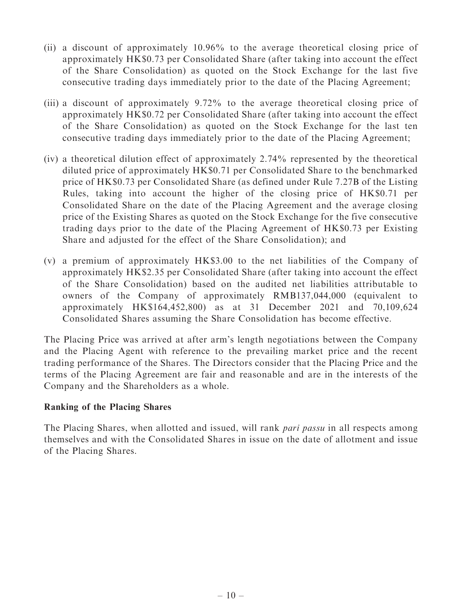- (ii) a discount of approximately 10.96% to the average theoretical closing price of approximately HK\$0.73 per Consolidated Share (after taking into account the effect of the Share Consolidation) as quoted on the Stock Exchange for the last five consecutive trading days immediately prior to the date of the Placing Agreement;
- (iii) a discount of approximately 9.72% to the average theoretical closing price of approximately HK\$0.72 per Consolidated Share (after taking into account the effect of the Share Consolidation) as quoted on the Stock Exchange for the last ten consecutive trading days immediately prior to the date of the Placing Agreement;
- (iv) a theoretical dilution effect of approximately 2.74% represented by the theoretical diluted price of approximately HK\$0.71 per Consolidated Share to the benchmarked price of HK\$0.73 per Consolidated Share (as defined under Rule 7.27B of the Listing Rules, taking into account the higher of the closing price of HK\$0.71 per Consolidated Share on the date of the Placing Agreement and the average closing price of the Existing Shares as quoted on the Stock Exchange for the five consecutive trading days prior to the date of the Placing Agreement of HK\$0.73 per Existing Share and adjusted for the effect of the Share Consolidation); and
- (v) a premium of approximately HK\$3.00 to the net liabilities of the Company of approximately HK\$2.35 per Consolidated Share (after taking into account the effect of the Share Consolidation) based on the audited net liabilities attributable to owners of the Company of approximately RMB137,044,000 (equivalent to approximately HK\$164,452,800) as at 31 December 2021 and 70,109,624 Consolidated Shares assuming the Share Consolidation has become effective.

The Placing Price was arrived at after arm's length negotiations between the Company and the Placing Agent with reference to the prevailing market price and the recent trading performance of the Shares. The Directors consider that the Placing Price and the terms of the Placing Agreement are fair and reasonable and are in the interests of the Company and the Shareholders as a whole.

#### Ranking of the Placing Shares

The Placing Shares, when allotted and issued, will rank *pari passu* in all respects among themselves and with the Consolidated Shares in issue on the date of allotment and issue of the Placing Shares.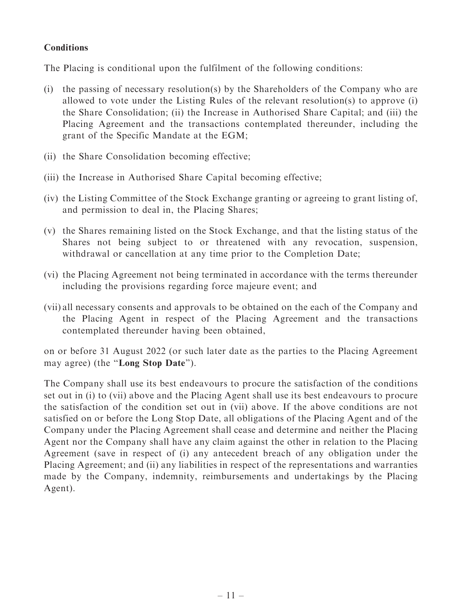#### **Conditions**

The Placing is conditional upon the fulfilment of the following conditions:

- (i) the passing of necessary resolution(s) by the Shareholders of the Company who are allowed to vote under the Listing Rules of the relevant resolution(s) to approve (i) the Share Consolidation; (ii) the Increase in Authorised Share Capital; and (iii) the Placing Agreement and the transactions contemplated thereunder, including the grant of the Specific Mandate at the EGM;
- (ii) the Share Consolidation becoming effective;
- (iii) the Increase in Authorised Share Capital becoming effective;
- (iv) the Listing Committee of the Stock Exchange granting or agreeing to grant listing of, and permission to deal in, the Placing Shares;
- (v) the Shares remaining listed on the Stock Exchange, and that the listing status of the Shares not being subject to or threatened with any revocation, suspension, withdrawal or cancellation at any time prior to the Completion Date;
- (vi) the Placing Agreement not being terminated in accordance with the terms thereunder including the provisions regarding force majeure event; and
- (vii) all necessary consents and approvals to be obtained on the each of the Company and the Placing Agent in respect of the Placing Agreement and the transactions contemplated thereunder having been obtained,

on or before 31 August 2022 (or such later date as the parties to the Placing Agreement may agree) (the ''Long Stop Date'').

The Company shall use its best endeavours to procure the satisfaction of the conditions set out in (i) to (vii) above and the Placing Agent shall use its best endeavours to procure the satisfaction of the condition set out in (vii) above. If the above conditions are not satisfied on or before the Long Stop Date, all obligations of the Placing Agent and of the Company under the Placing Agreement shall cease and determine and neither the Placing Agent nor the Company shall have any claim against the other in relation to the Placing Agreement (save in respect of (i) any antecedent breach of any obligation under the Placing Agreement; and (ii) any liabilities in respect of the representations and warranties made by the Company, indemnity, reimbursements and undertakings by the Placing Agent).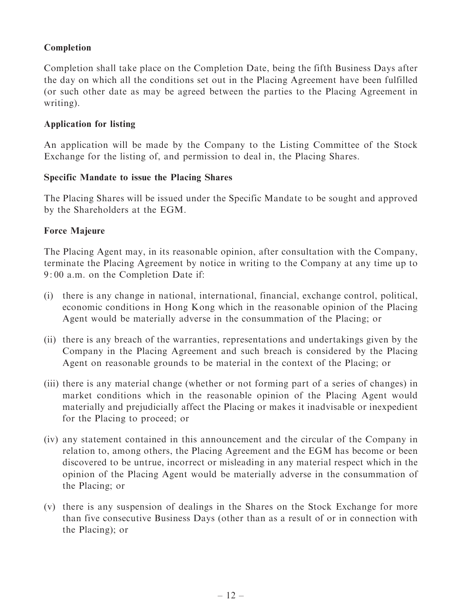#### Completion

Completion shall take place on the Completion Date, being the fifth Business Days after the day on which all the conditions set out in the Placing Agreement have been fulfilled (or such other date as may be agreed between the parties to the Placing Agreement in writing).

#### Application for listing

An application will be made by the Company to the Listing Committee of the Stock Exchange for the listing of, and permission to deal in, the Placing Shares.

#### Specific Mandate to issue the Placing Shares

The Placing Shares will be issued under the Specific Mandate to be sought and approved by the Shareholders at the EGM.

#### Force Majeure

The Placing Agent may, in its reasonable opinion, after consultation with the Company, terminate the Placing Agreement by notice in writing to the Company at any time up to 9: 00 a.m. on the Completion Date if:

- (i) there is any change in national, international, financial, exchange control, political, economic conditions in Hong Kong which in the reasonable opinion of the Placing Agent would be materially adverse in the consummation of the Placing; or
- (ii) there is any breach of the warranties, representations and undertakings given by the Company in the Placing Agreement and such breach is considered by the Placing Agent on reasonable grounds to be material in the context of the Placing; or
- (iii) there is any material change (whether or not forming part of a series of changes) in market conditions which in the reasonable opinion of the Placing Agent would materially and prejudicially affect the Placing or makes it inadvisable or inexpedient for the Placing to proceed; or
- (iv) any statement contained in this announcement and the circular of the Company in relation to, among others, the Placing Agreement and the EGM has become or been discovered to be untrue, incorrect or misleading in any material respect which in the opinion of the Placing Agent would be materially adverse in the consummation of the Placing; or
- (v) there is any suspension of dealings in the Shares on the Stock Exchange for more than five consecutive Business Days (other than as a result of or in connection with the Placing); or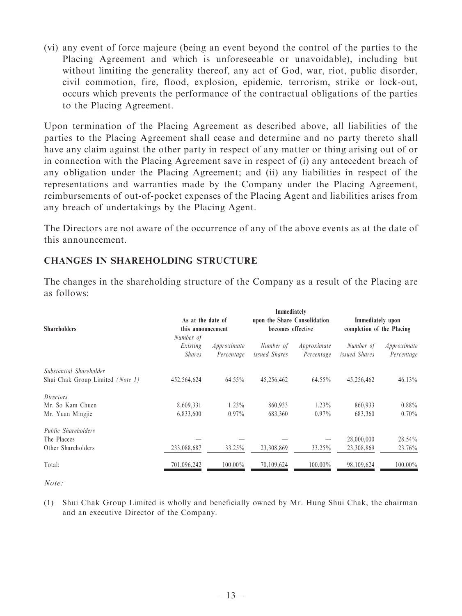(vi) any event of force majeure (being an event beyond the control of the parties to the Placing Agreement and which is unforeseeable or unavoidable), including but without limiting the generality thereof, any act of God, war, riot, public disorder, civil commotion, fire, flood, explosion, epidemic, terrorism, strike or lock-out, occurs which prevents the performance of the contractual obligations of the parties to the Placing Agreement.

Upon termination of the Placing Agreement as described above, all liabilities of the parties to the Placing Agreement shall cease and determine and no party thereto shall have any claim against the other party in respect of any matter or thing arising out of or in connection with the Placing Agreement save in respect of (i) any antecedent breach of any obligation under the Placing Agreement; and (ii) any liabilities in respect of the representations and warranties made by the Company under the Placing Agreement, reimbursements of out-of-pocket expenses of the Placing Agent and liabilities arises from any breach of undertakings by the Placing Agent.

The Directors are not aware of the occurrence of any of the above events as at the date of this announcement.

#### CHANGES IN SHAREHOLDING STRUCTURE

| <b>Shareholders</b>                                             | As at the date of<br>this announcement<br>Number of |                           | Immediately<br>upon the Share Consolidation<br>becomes effective |                           | Immediately upon<br>completion of the Placing |                           |
|-----------------------------------------------------------------|-----------------------------------------------------|---------------------------|------------------------------------------------------------------|---------------------------|-----------------------------------------------|---------------------------|
|                                                                 | Existing<br><i>Shares</i>                           | Approximate<br>Percentage | Number of<br>issued Shares                                       | Approximate<br>Percentage | Number of<br><i>issued Shares</i>             | Approximate<br>Percentage |
| Substantial Shareholder<br>Shui Chak Group Limited (Note 1)     | 452,564,624                                         | $64.55\%$                 | 45,256,462                                                       | $64.55\%$                 | 45,256,462                                    | $46.13\%$                 |
| Directors<br>Mr. So Kam Chuen<br>Mr. Yuan Mingjie               | 8,609,331<br>6,833,600                              | $1.23\%$<br>$0.97\%$      | 860,933<br>683,360                                               | $1.23\%$<br>$0.97\%$      | 860,933<br>683,360                            | $0.88\%$<br>$0.70\%$      |
| <i>Public Shareholders</i><br>The Placees<br>Other Shareholders | 233,088,687                                         | 33.25%                    | 23,308,869                                                       | 33.25%                    | 28,000,000<br>23,308,869                      | 28.54%<br>23.76%          |
| Total:                                                          | 701,096,242                                         | $100.00\%$                | 70,109,624                                                       | $100.00\%$                | 98,109,624                                    | 100.00%                   |

The changes in the shareholding structure of the Company as a result of the Placing are as follows:

 $Note:$ 

(1) Shui Chak Group Limited is wholly and beneficially owned by Mr. Hung Shui Chak, the chairman and an executive Director of the Company.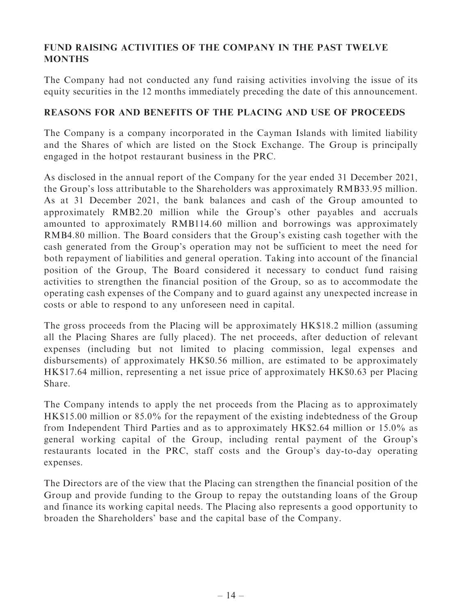#### FUND RAISING ACTIVITIES OF THE COMPANY IN THE PAST TWELVE MONTHS

The Company had not conducted any fund raising activities involving the issue of its equity securities in the 12 months immediately preceding the date of this announcement.

#### REASONS FOR AND BENEFITS OF THE PLACING AND USE OF PROCEEDS

The Company is a company incorporated in the Cayman Islands with limited liability and the Shares of which are listed on the Stock Exchange. The Group is principally engaged in the hotpot restaurant business in the PRC.

As disclosed in the annual report of the Company for the year ended 31 December 2021, the Group's loss attributable to the Shareholders was approximately RMB33.95 million. As at 31 December 2021, the bank balances and cash of the Group amounted to approximately RMB2.20 million while the Group's other payables and accruals amounted to approximately RMB114.60 million and borrowings was approximately RMB4.80 million. The Board considers that the Group's existing cash together with the cash generated from the Group's operation may not be sufficient to meet the need for both repayment of liabilities and general operation. Taking into account of the financial position of the Group, The Board considered it necessary to conduct fund raising activities to strengthen the financial position of the Group, so as to accommodate the operating cash expenses of the Company and to guard against any unexpected increase in costs or able to respond to any unforeseen need in capital.

The gross proceeds from the Placing will be approximately HK\$18.2 million (assuming all the Placing Shares are fully placed). The net proceeds, after deduction of relevant expenses (including but not limited to placing commission, legal expenses and disbursements) of approximately HK\$0.56 million, are estimated to be approximately HK\$17.64 million, representing a net issue price of approximately HK\$0.63 per Placing Share.

The Company intends to apply the net proceeds from the Placing as to approximately HK\$15.00 million or 85.0% for the repayment of the existing indebtedness of the Group from Independent Third Parties and as to approximately HK\$2.64 million or 15.0% as general working capital of the Group, including rental payment of the Group's restaurants located in the PRC, staff costs and the Group's day-to-day operating expenses.

The Directors are of the view that the Placing can strengthen the financial position of the Group and provide funding to the Group to repay the outstanding loans of the Group and finance its working capital needs. The Placing also represents a good opportunity to broaden the Shareholders' base and the capital base of the Company.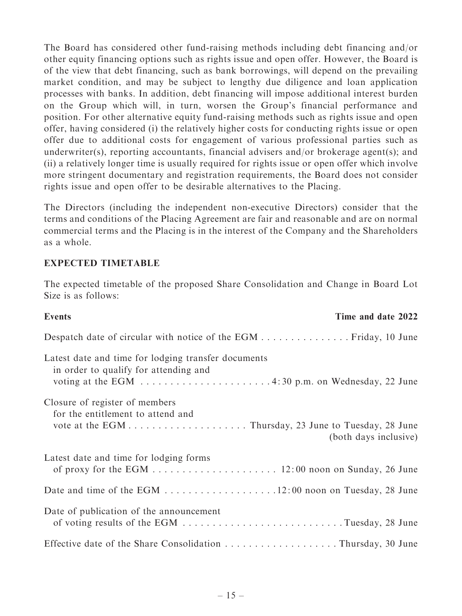The Board has considered other fund-raising methods including debt financing and/or other equity financing options such as rights issue and open offer. However, the Board is of the view that debt financing, such as bank borrowings, will depend on the prevailing market condition, and may be subject to lengthy due diligence and loan application processes with banks. In addition, debt financing will impose additional interest burden on the Group which will, in turn, worsen the Group's financial performance and position. For other alternative equity fund-raising methods such as rights issue and open offer, having considered (i) the relatively higher costs for conducting rights issue or open offer due to additional costs for engagement of various professional parties such as underwriter(s), reporting accountants, financial advisers and/or brokerage agent(s); and (ii) a relatively longer time is usually required for rights issue or open offer which involve more stringent documentary and registration requirements, the Board does not consider rights issue and open offer to be desirable alternatives to the Placing.

The Directors (including the independent non-executive Directors) consider that the terms and conditions of the Placing Agreement are fair and reasonable and are on normal commercial terms and the Placing is in the interest of the Company and the Shareholders as a whole.

#### EXPECTED TIMETABLE

The expected timetable of the proposed Share Consolidation and Change in Board Lot Size is as follows:

| <b>Events</b>                                                                                | Time and date 2022    |
|----------------------------------------------------------------------------------------------|-----------------------|
| Despatch date of circular with notice of the EGM Friday, 10 June                             |                       |
| Latest date and time for lodging transfer documents<br>in order to qualify for attending and |                       |
| Closure of register of members<br>for the entitlement to attend and                          | (both days inclusive) |
| Latest date and time for lodging forms                                                       |                       |
|                                                                                              |                       |
| Date of publication of the announcement                                                      |                       |
| Effective date of the Share Consolidation Thursday, 30 June                                  |                       |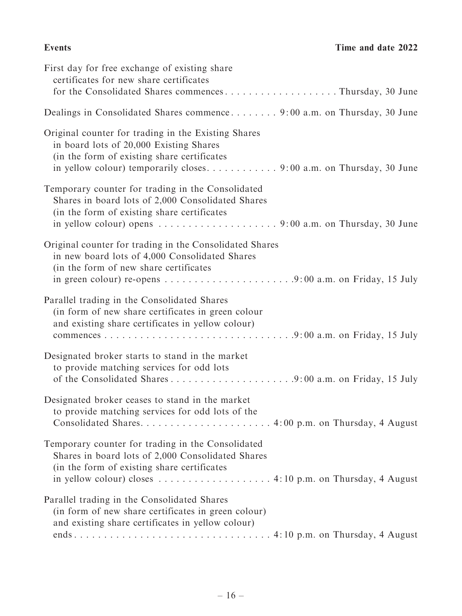| First day for free exchange of existing share<br>certificates for new share certificates<br>for the Consolidated Shares commencesThursday, 30 June                                                                                                       |
|----------------------------------------------------------------------------------------------------------------------------------------------------------------------------------------------------------------------------------------------------------|
| Dealings in Consolidated Shares commence 9:00 a.m. on Thursday, 30 June                                                                                                                                                                                  |
| Original counter for trading in the Existing Shares<br>in board lots of 20,000 Existing Shares<br>(in the form of existing share certificates                                                                                                            |
| Temporary counter for trading in the Consolidated<br>Shares in board lots of 2,000 Consolidated Shares<br>(in the form of existing share certificates                                                                                                    |
| Original counter for trading in the Consolidated Shares<br>in new board lots of 4,000 Consolidated Shares<br>(in the form of new share certificates                                                                                                      |
| Parallel trading in the Consolidated Shares<br>(in form of new share certificates in green colour<br>and existing share certificates in yellow colour)                                                                                                   |
| Designated broker starts to stand in the market<br>to provide matching services for odd lots<br>of the Consolidated Shares9:00 a.m. on Friday, 15 July                                                                                                   |
| Designated broker ceases to stand in the market<br>to provide matching services for odd lots of the                                                                                                                                                      |
| Temporary counter for trading in the Consolidated<br>Shares in board lots of 2,000 Consolidated Shares<br>(in the form of existing share certificates)<br>in yellow colour) closes $\dots \dots \dots \dots \dots \dots$ 4:10 p.m. on Thursday, 4 August |
| Parallel trading in the Consolidated Shares<br>(in form of new share certificates in green colour)<br>and existing share certificates in yellow colour)                                                                                                  |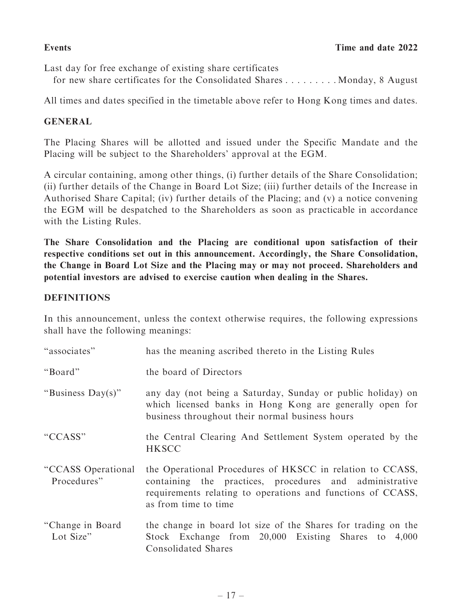Last day for free exchange of existing share certificates for new share certificates for the Consolidated Shares  $\dots \dots$  . . . . . . . . Monday, 8 August

All times and dates specified in the timetable above refer to Hong Kong times and dates.

#### GENERAL

The Placing Shares will be allotted and issued under the Specific Mandate and the Placing will be subject to the Shareholders' approval at the EGM.

A circular containing, among other things, (i) further details of the Share Consolidation; (ii) further details of the Change in Board Lot Size; (iii) further details of the Increase in Authorised Share Capital; (iv) further details of the Placing; and (v) a notice convening the EGM will be despatched to the Shareholders as soon as practicable in accordance with the Listing Rules.

The Share Consolidation and the Placing are conditional upon satisfaction of their respective conditions set out in this announcement. Accordingly, the Share Consolidation, the Change in Board Lot Size and the Placing may or may not proceed. Shareholders and potential investors are advised to exercise caution when dealing in the Shares.

#### **DEFINITIONS**

In this announcement, unless the context otherwise requires, the following expressions shall have the following meanings:

| "associates"                      | has the meaning ascribed thereto in the Listing Rules                                                                                                                                                       |
|-----------------------------------|-------------------------------------------------------------------------------------------------------------------------------------------------------------------------------------------------------------|
| "Board"                           | the board of Directors                                                                                                                                                                                      |
| "Business $Day(s)$ "              | any day (not being a Saturday, Sunday or public holiday) on<br>which licensed banks in Hong Kong are generally open for<br>business throughout their normal business hours                                  |
| "CCASS"                           | the Central Clearing And Settlement System operated by the<br><b>HKSCC</b>                                                                                                                                  |
| "CCASS Operational<br>Procedures" | the Operational Procedures of HKSCC in relation to CCASS,<br>containing the practices, procedures and administrative<br>requirements relating to operations and functions of CCASS,<br>as from time to time |
| "Change in Board"<br>Lot Size"    | the change in board lot size of the Shares for trading on the<br>Stock Exchange from 20,000 Existing Shares to 4,000<br><b>Consolidated Shares</b>                                                          |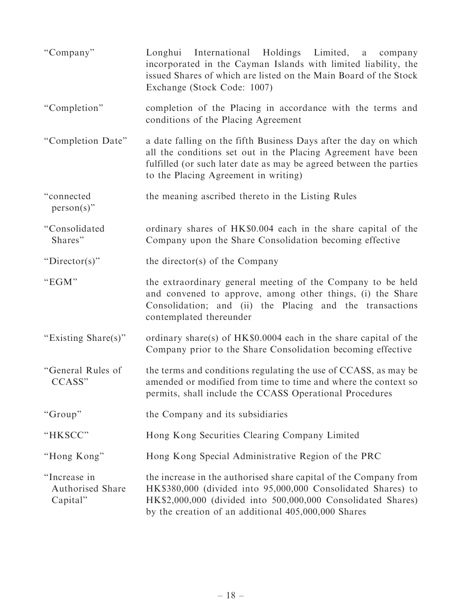| "Company"                                    | Longhui International Holdings Limited, a<br>company<br>incorporated in the Cayman Islands with limited liability, the<br>issued Shares of which are listed on the Main Board of the Stock<br>Exchange (Stock Code: 1007)                               |
|----------------------------------------------|---------------------------------------------------------------------------------------------------------------------------------------------------------------------------------------------------------------------------------------------------------|
| "Completion"                                 | completion of the Placing in accordance with the terms and<br>conditions of the Placing Agreement                                                                                                                                                       |
| "Completion Date"                            | a date falling on the fifth Business Days after the day on which<br>all the conditions set out in the Placing Agreement have been<br>fulfilled (or such later date as may be agreed between the parties<br>to the Placing Agreement in writing)         |
| "connected<br>$person(s)$ "                  | the meaning ascribed thereto in the Listing Rules                                                                                                                                                                                                       |
| "Consolidated<br>Shares"                     | ordinary shares of HK\$0.004 each in the share capital of the<br>Company upon the Share Consolidation becoming effective                                                                                                                                |
| " $Director(s)$ "                            | the director(s) of the Company                                                                                                                                                                                                                          |
| "EGM"                                        | the extraordinary general meeting of the Company to be held<br>and convened to approve, among other things, (i) the Share<br>Consolidation; and (ii) the Placing and the transactions<br>contemplated thereunder                                        |
| "Existing Share(s)"                          | ordinary share(s) of $HK\$0.0004$ each in the share capital of the<br>Company prior to the Share Consolidation becoming effective                                                                                                                       |
| "General Rules of<br>CCASS"                  | the terms and conditions regulating the use of CCASS, as may be<br>amended or modified from time to time and where the context so<br>permits, shall include the CCASS Operational Procedures                                                            |
| "Group"                                      | the Company and its subsidiaries                                                                                                                                                                                                                        |
| "HKSCC"                                      | Hong Kong Securities Clearing Company Limited                                                                                                                                                                                                           |
| "Hong Kong"                                  | Hong Kong Special Administrative Region of the PRC                                                                                                                                                                                                      |
| "Increase in<br>Authorised Share<br>Capital" | the increase in the authorised share capital of the Company from<br>HK\$380,000 (divided into 95,000,000 Consolidated Shares) to<br>HK\$2,000,000 (divided into 500,000,000 Consolidated Shares)<br>by the creation of an additional 405,000,000 Shares |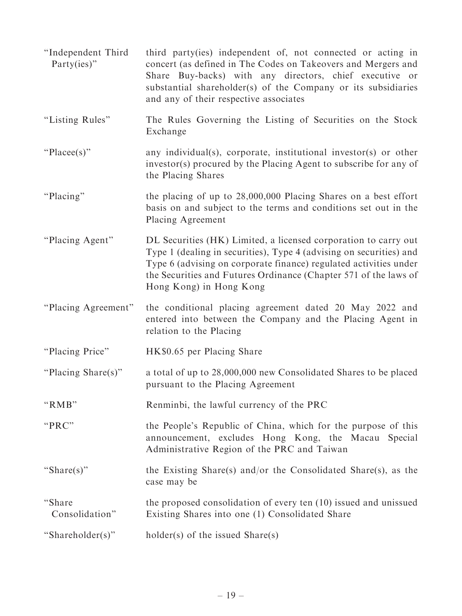- ''Independent Third Party(ies)'' third party(ies) independent of, not connected or acting in concert (as defined in The Codes on Takeovers and Mergers and Share Buy-backs) with any directors, chief executive or substantial shareholder(s) of the Company or its subsidiaries and any of their respective associates
- ''Listing Rules'' The Rules Governing the Listing of Securities on the Stock Exchange
- "Placee(s)" any individual(s), corporate, institutional investor(s) or other investor(s) procured by the Placing Agent to subscribe for any of the Placing Shares
- "Placing" the placing of up to 28,000,000 Placing Shares on a best effort basis on and subject to the terms and conditions set out in the Placing Agreement
- ''Placing Agent'' DL Securities (HK) Limited, a licensed corporation to carry out Type 1 (dealing in securities), Type 4 (advising on securities) and Type 6 (advising on corporate finance) regulated activities under the Securities and Futures Ordinance (Chapter 571 of the laws of Hong Kong) in Hong Kong
- ''Placing Agreement'' the conditional placing agreement dated 20 May 2022 and entered into between the Company and the Placing Agent in relation to the Placing
- "Placing Price" HK\$0.65 per Placing Share
- ''Placing Share(s)'' a total of up to 28,000,000 new Consolidated Shares to be placed pursuant to the Placing Agreement
- "RMB" Renminbi, the lawful currency of the PRC
- "PRC" the People's Republic of China, which for the purpose of this announcement, excludes Hong Kong, the Macau Special Administrative Region of the PRC and Taiwan
- "Share(s)" the Existing Share(s) and/or the Consolidated Share(s), as the case may be
- ''Share Consolidation'' the proposed consolidation of every ten (10) issued and unissued Existing Shares into one (1) Consolidated Share
- ''Shareholder(s)'' holder(s) of the issued Share(s)